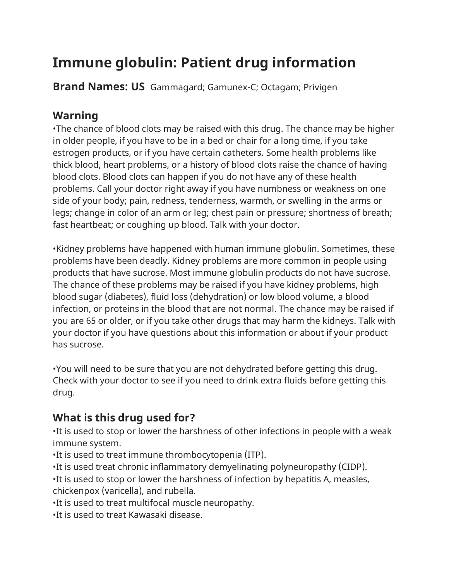# **Immune globulin: Patient drug information**

**Brand Names: US** Gammagard; Gamunex-C; Octagam; Privigen

#### **Warning**

•The chance of blood clots may be raised with this drug. The chance may be higher in older people, if you have to be in a bed or chair for a long time, if you take estrogen products, or if you have certain catheters. Some health problems like thick blood, heart problems, or a history of blood clots raise the chance of having blood clots. Blood clots can happen if you do not have any of these health problems. Call your doctor right away if you have numbness or weakness on one side of your body; pain, redness, tenderness, warmth, or swelling in the arms or legs; change in color of an arm or leg; chest pain or pressure; shortness of breath; fast heartbeat; or coughing up blood. Talk with your doctor.

•Kidney problems have happened with human immune globulin. Sometimes, these problems have been deadly. Kidney problems are more common in people using products that have sucrose. Most immune globulin products do not have sucrose. The chance of these problems may be raised if you have kidney problems, high blood sugar (diabetes), fluid loss (dehydration) or low blood volume, a blood infection, or proteins in the blood that are not normal. The chance may be raised if you are 65 or older, or if you take other drugs that may harm the kidneys. Talk with your doctor if you have questions about this information or about if your product has sucrose.

•You will need to be sure that you are not dehydrated before getting this drug. Check with your doctor to see if you need to drink extra fluids before getting this drug.

### **What is this drug used for?**

•It is used to stop or lower the harshness of other infections in people with a weak immune system.

•It is used to treat immune thrombocytopenia (ITP).

•It is used treat chronic inflammatory demyelinating polyneuropathy (CIDP).

•It is used to stop or lower the harshness of infection by hepatitis A, measles, chickenpox (varicella), and rubella.

•It is used to treat multifocal muscle neuropathy.

•It is used to treat Kawasaki disease.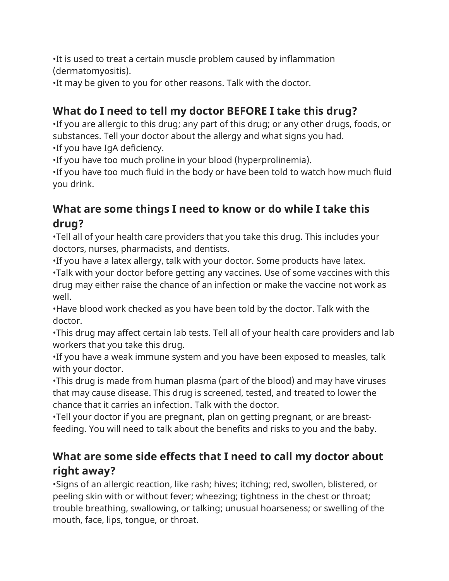•It is used to treat a certain muscle problem caused by inflammation (dermatomyositis).

•It may be given to you for other reasons. Talk with the doctor.

## **What do I need to tell my doctor BEFORE I take this drug?**

•If you are allergic to this drug; any part of this drug; or any other drugs, foods, or substances. Tell your doctor about the allergy and what signs you had.

•If you have IgA deficiency.

•If you have too much proline in your blood (hyperprolinemia).

•If you have too much fluid in the body or have been told to watch how much fluid you drink.

# **What are some things I need to know or do while I take this drug?**

•Tell all of your health care providers that you take this drug. This includes your doctors, nurses, pharmacists, and dentists.

•If you have a latex allergy, talk with your doctor. Some products have latex.

•Talk with your doctor before getting any vaccines. Use of some vaccines with this drug may either raise the chance of an infection or make the vaccine not work as well.

•Have blood work checked as you have been told by the doctor. Talk with the doctor.

•This drug may affect certain lab tests. Tell all of your health care providers and lab workers that you take this drug.

•If you have a weak immune system and you have been exposed to measles, talk with your doctor.

•This drug is made from human plasma (part of the blood) and may have viruses that may cause disease. This drug is screened, tested, and treated to lower the chance that it carries an infection. Talk with the doctor.

•Tell your doctor if you are pregnant, plan on getting pregnant, or are breastfeeding. You will need to talk about the benefits and risks to you and the baby.

#### **What are some side effects that I need to call my doctor about right away?**

•Signs of an allergic reaction, like rash; hives; itching; red, swollen, blistered, or peeling skin with or without fever; wheezing; tightness in the chest or throat; trouble breathing, swallowing, or talking; unusual hoarseness; or swelling of the mouth, face, lips, tongue, or throat.